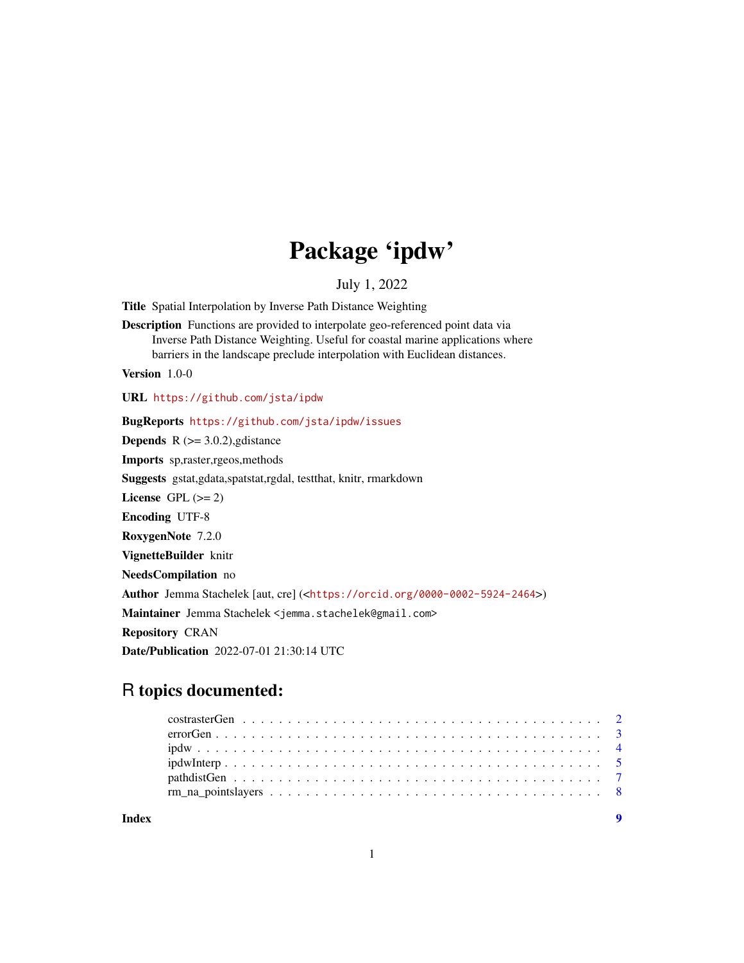# Package 'ipdw'

July 1, 2022

<span id="page-0-0"></span>Title Spatial Interpolation by Inverse Path Distance Weighting

Description Functions are provided to interpolate geo-referenced point data via Inverse Path Distance Weighting. Useful for coastal marine applications where barriers in the landscape preclude interpolation with Euclidean distances.

Version 1.0-0

URL <https://github.com/jsta/ipdw>

BugReports <https://github.com/jsta/ipdw/issues>

**Depends** R  $(>= 3.0.2)$ , gdistance

Imports sp,raster,rgeos,methods

Suggests gstat,gdata,spatstat,rgdal, testthat, knitr, rmarkdown

License GPL  $(>= 2)$ 

Encoding UTF-8

RoxygenNote 7.2.0

VignetteBuilder knitr

NeedsCompilation no

Author Jemma Stachelek [aut, cre] (<<https://orcid.org/0000-0002-5924-2464>>)

Maintainer Jemma Stachelek <jemma.stachelek@gmail.com>

Repository CRAN

Date/Publication 2022-07-01 21:30:14 UTC

# R topics documented:

| Index |  |  |  |  |  |  |  |  |  |  |  |  |  |  |  |  |
|-------|--|--|--|--|--|--|--|--|--|--|--|--|--|--|--|--|
|       |  |  |  |  |  |  |  |  |  |  |  |  |  |  |  |  |
|       |  |  |  |  |  |  |  |  |  |  |  |  |  |  |  |  |
|       |  |  |  |  |  |  |  |  |  |  |  |  |  |  |  |  |
|       |  |  |  |  |  |  |  |  |  |  |  |  |  |  |  |  |
|       |  |  |  |  |  |  |  |  |  |  |  |  |  |  |  |  |
|       |  |  |  |  |  |  |  |  |  |  |  |  |  |  |  |  |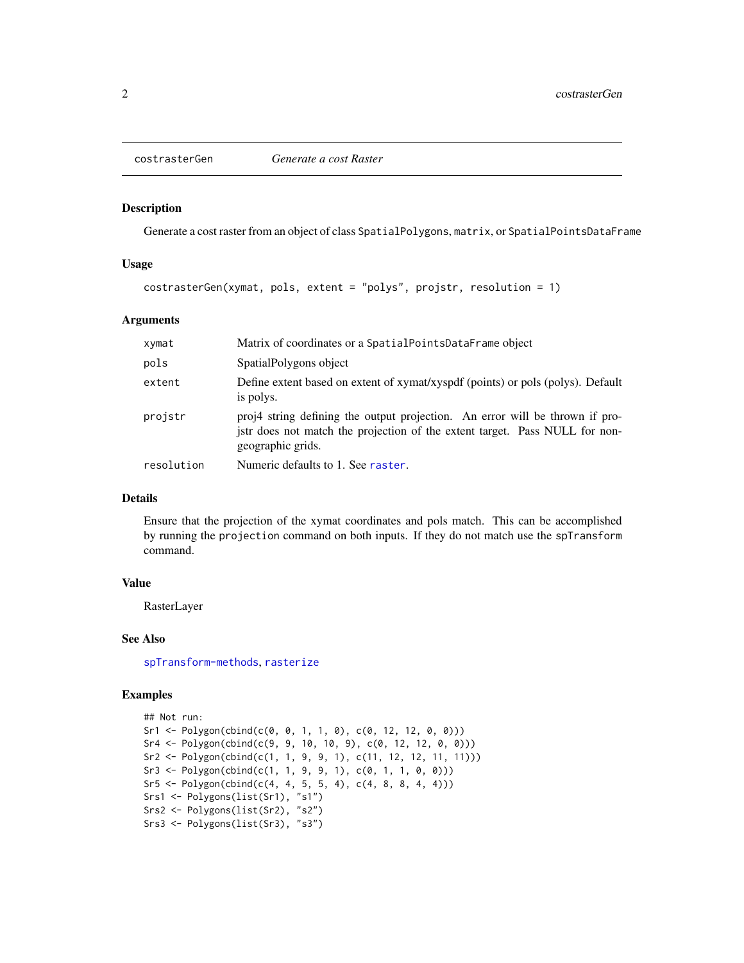<span id="page-1-0"></span>

#### Description

Generate a cost raster from an object of class SpatialPolygons, matrix, or SpatialPointsDataFrame

#### Usage

costrasterGen(xymat, pols, extent = "polys", projstr, resolution = 1)

# Arguments

| xymat      | Matrix of coordinates or a SpatialPointsDataFrame object                                                                                                                         |
|------------|----------------------------------------------------------------------------------------------------------------------------------------------------------------------------------|
| pols       | SpatialPolygons object                                                                                                                                                           |
| extent     | Define extent based on extent of xymat/xyspdf (points) or pols (polys). Default<br>is polys.                                                                                     |
| projstr    | proj4 string defining the output projection. An error will be thrown if pro-<br>jstr does not match the projection of the extent target. Pass NULL for non-<br>geographic grids. |
| resolution | Numeric defaults to 1. See raster.                                                                                                                                               |

# Details

Ensure that the projection of the xymat coordinates and pols match. This can be accomplished by running the projection command on both inputs. If they do not match use the spTransform command.

#### Value

RasterLayer

#### See Also

[spTransform-methods](#page-0-0), [rasterize](#page-0-0)

# Examples

```
## Not run:
Sr1 \leftarrow \text{Polygon}(\text{cbind}(c(0, 0, 1, 1, 0), c(0, 12, 12, 0, 0)))Sr4 \leq Polygon(cbind(c(9, 9, 10, 10, 9), c(0, 12, 12, 0, 0)))Sr2 \leq Polygon(cbind(c(1, 1, 9, 9, 1), c(11, 12, 12, 11, 11)))Sr3 \leq Polygon(cbind(c(1, 1, 9, 9, 1), c(0, 1, 1, 0, 0)))Sr5 \leq Polygon(clind(c(4, 4, 5, 5, 4), c(4, 8, 8, 4, 4)))Srs1 <- Polygons(list(Sr1), "s1")
Srs2 <- Polygons(list(Sr2), "s2")
Srs3 <- Polygons(list(Sr3), "s3")
```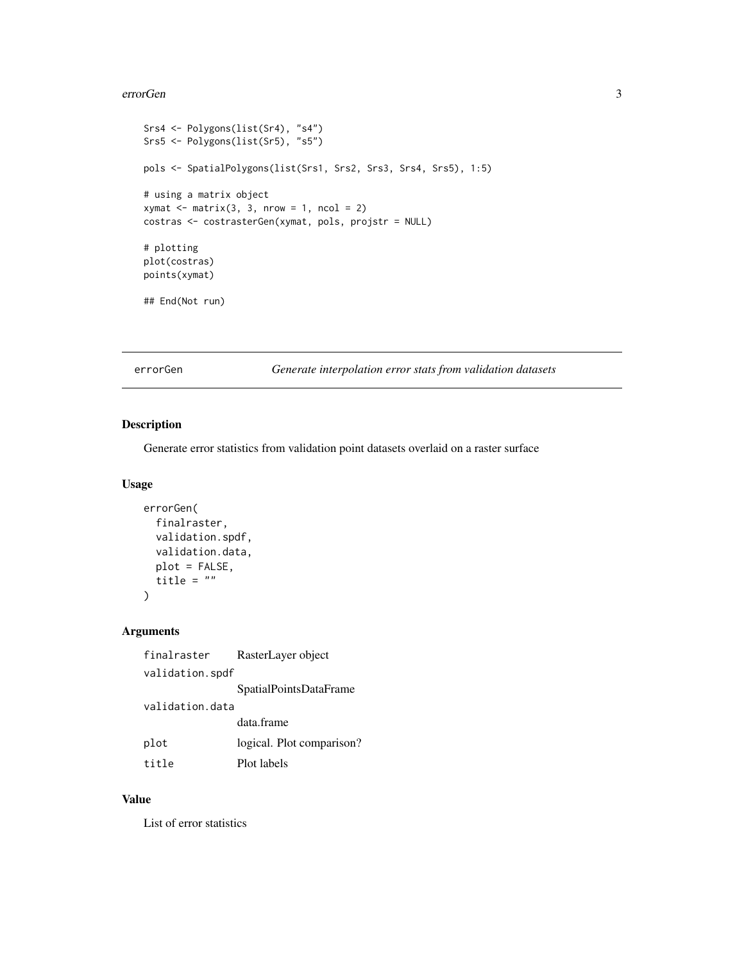#### <span id="page-2-0"></span>errorGen 33

```
Srs4 <- Polygons(list(Sr4), "s4")
Srs5 <- Polygons(list(Sr5), "s5")
pols <- SpatialPolygons(list(Srs1, Srs2, Srs3, Srs4, Srs5), 1:5)
# using a matrix object
xy \text{mat} \leq -\text{matrix}(3, 3, \text{now} = 1, \text{ncol} = 2)costras <- costrasterGen(xymat, pols, projstr = NULL)
# plotting
plot(costras)
points(xymat)
## End(Not run)
```
errorGen *Generate interpolation error stats from validation datasets*

# Description

Generate error statistics from validation point datasets overlaid on a raster surface

#### Usage

```
errorGen(
  finalraster,
  validation.spdf,
  validation.data,
  plot = FALSE,
  title = "\mathcal{L}
```
# Arguments

| finalraster     | RasterLayer object        |
|-----------------|---------------------------|
| validation.spdf |                           |
|                 | SpatialPointsDataFrame    |
| validation.data |                           |
|                 | data.frame                |
| plot            | logical. Plot comparison? |
| title           | Plot labels               |

#### Value

List of error statistics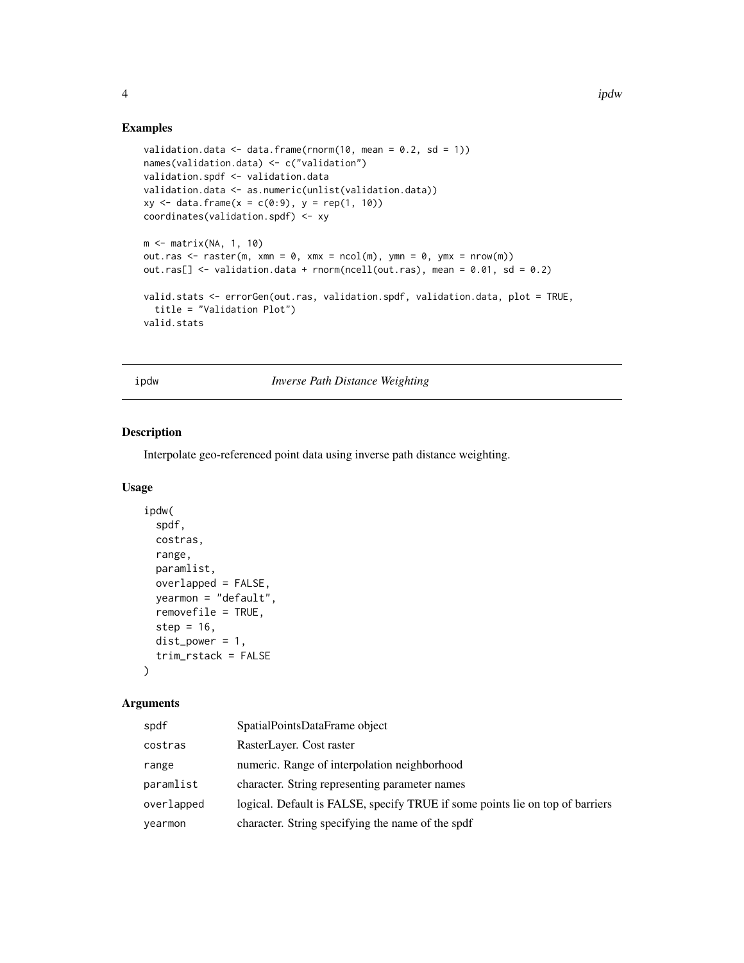# Examples

```
validation.data \leq data.frame(rnorm(10, mean = 0.2, sd = 1))
names(validation.data) <- c("validation")
validation.spdf <- validation.data
validation.data <- as.numeric(unlist(validation.data))
xy \le - data.frame(x = c(0:9), y = rep(1, 10))
coordinates(validation.spdf) <- xy
m <- matrix(NA, 1, 10)
out.ras \leq raster(m, xmn = 0, xmx = ncol(m), ymn = 0, ymx = nrow(m))
out.ras[] <- validation.data + rnorm(ncell(out.ras), mean = 0.01, sd = 0.2)
valid.stats <- errorGen(out.ras, validation.spdf, validation.data, plot = TRUE,
  title = "Validation Plot")
valid.stats
```
ipdw *Inverse Path Distance Weighting*

# Description

Interpolate geo-referenced point data using inverse path distance weighting.

## Usage

```
ipdw(
  spdf,
  costras,
 range,
 paramlist,
 overlapped = FALSE,
 yearmon = "default",
  removefile = TRUE,
  step = 16,
 dist_power = 1,
  trim_rstack = FALSE
\lambda
```
# Arguments

| spdf       | SpatialPointsDataFrame object                                                 |
|------------|-------------------------------------------------------------------------------|
| costras    | RasterLayer. Cost raster                                                      |
| range      | numeric. Range of interpolation neighborhood                                  |
| paramlist  | character. String representing parameter names                                |
| overlapped | logical. Default is FALSE, specify TRUE if some points lie on top of barriers |
| yearmon    | character. String specifying the name of the spdf                             |

<span id="page-3-0"></span>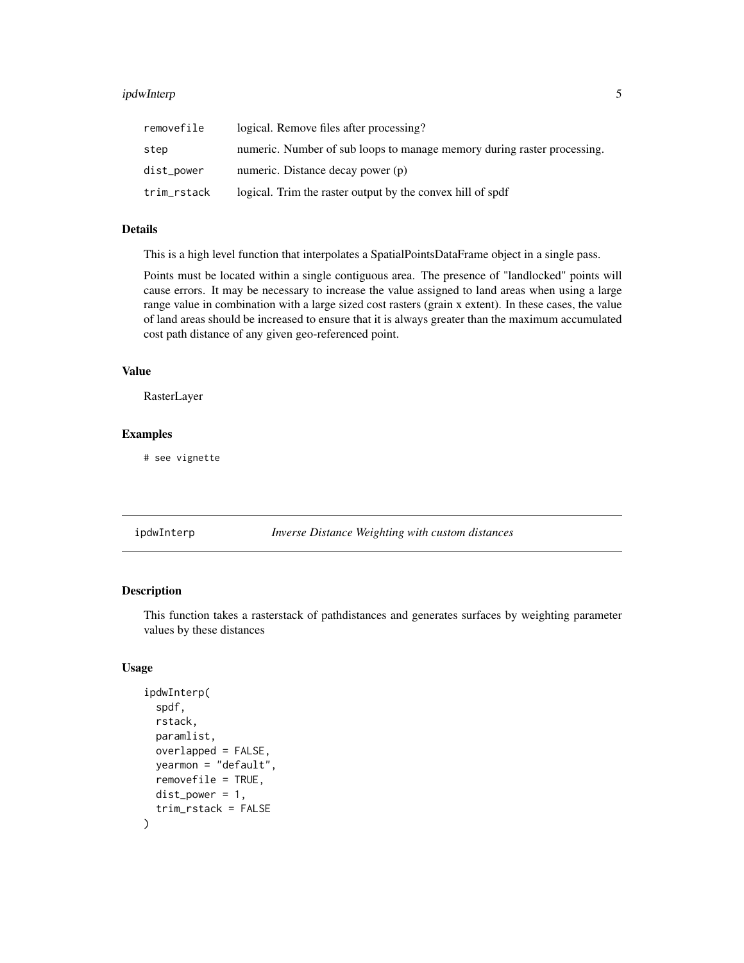# <span id="page-4-0"></span>ipdwInterp 5

| removefile  | logical. Remove files after processing?                                 |
|-------------|-------------------------------------------------------------------------|
| step        | numeric. Number of sub loops to manage memory during raster processing. |
| dist_power  | numeric. Distance decay power (p)                                       |
| trim_rstack | logical. Trim the raster output by the convex hill of spdf              |

# Details

This is a high level function that interpolates a SpatialPointsDataFrame object in a single pass.

Points must be located within a single contiguous area. The presence of "landlocked" points will cause errors. It may be necessary to increase the value assigned to land areas when using a large range value in combination with a large sized cost rasters (grain x extent). In these cases, the value of land areas should be increased to ensure that it is always greater than the maximum accumulated cost path distance of any given geo-referenced point.

#### Value

RasterLayer

# Examples

# see vignette

| ipdwInterp | Inverse Distance Weighting with custom distances |
|------------|--------------------------------------------------|
|            |                                                  |

#### Description

This function takes a rasterstack of pathdistances and generates surfaces by weighting parameter values by these distances

## Usage

```
ipdwInterp(
  spdf,
  rstack,
 paramlist,
  overlapped = FALSE,
 yearmon = "default",
  removefile = TRUE,
 dist\_power = 1,
  trim_rstack = FALSE
)
```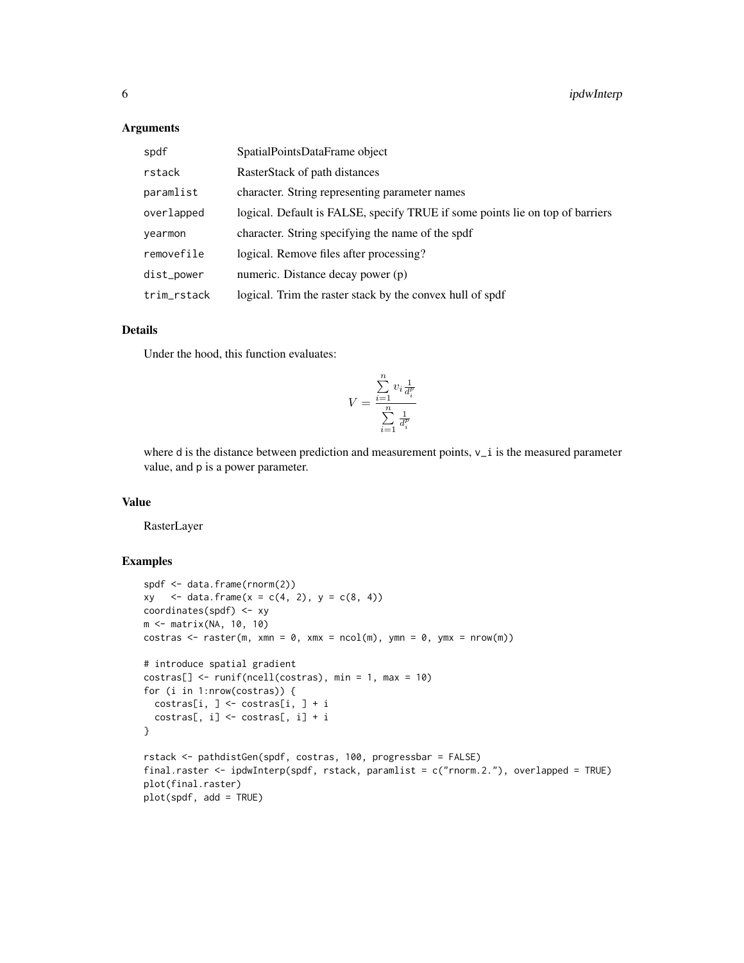#### Arguments

| spdf        | SpatialPointsDataFrame object                                                 |
|-------------|-------------------------------------------------------------------------------|
| rstack      | RasterStack of path distances                                                 |
| paramlist   | character. String representing parameter names                                |
| overlapped  | logical. Default is FALSE, specify TRUE if some points lie on top of barriers |
| yearmon     | character. String specifying the name of the spdf                             |
| removefile  | logical. Remove files after processing?                                       |
| dist_power  | numeric. Distance decay power (p)                                             |
| trim_rstack | logical. Trim the raster stack by the convex hull of spdf                     |

# Details

Under the hood, this function evaluates:

$$
V = \frac{\sum\limits_{i=1}^{n} v_i \frac{1}{d_i^p}}{\sum\limits_{i=1}^{n} \frac{1}{d_i^p}}
$$

where d is the distance between prediction and measurement points,  $v_i$  is the measured parameter value, and p is a power parameter.

# Value

RasterLayer

# Examples

```
spdf <- data.frame(rnorm(2))
xy \langle - \text{data-frame}(x = c(4, 2), y = c(8, 4)) \ranglecoordinates(spdf) <- xy
m <- matrix(NA, 10, 10)
costras \leq raster(m, xmn = 0, xmx = ncol(m), ymn = 0, ymx = nrow(m))
# introduce spatial gradient
costras[] <- runif(ncell(costras), min = 1, max = 10)
for (i in 1:nrow(costras)) {
  costras[i, ] <- costras[i, ] + i
  costras[, i] \leftarrow costras[, i] + i}
rstack <- pathdistGen(spdf, costras, 100, progressbar = FALSE)
final.raster <- ipdwInterp(spdf, rstack, paramlist = c("rnorm.2."), overlapped = TRUE)
plot(final.raster)
plot(spdf, add = TRUE)
```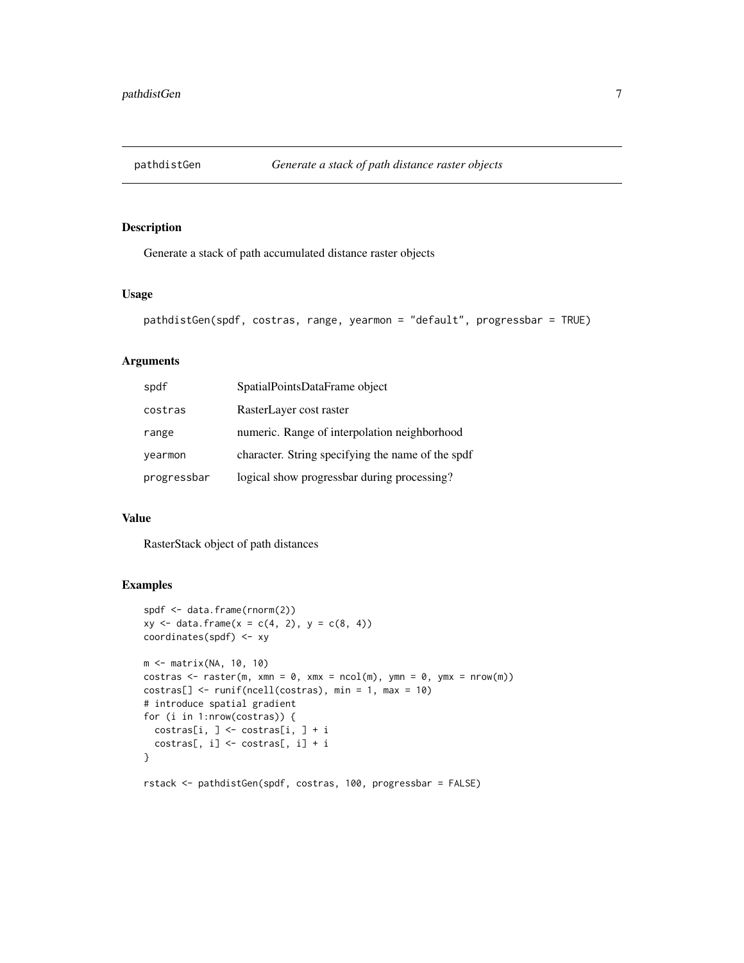<span id="page-6-0"></span>

# Description

Generate a stack of path accumulated distance raster objects

# Usage

```
pathdistGen(spdf, costras, range, yearmon = "default", progressbar = TRUE)
```
# Arguments

| spdf        | SpatialPointsDataFrame object                     |
|-------------|---------------------------------------------------|
| costras     | RasterLayer cost raster                           |
| range       | numeric. Range of interpolation neighborhood      |
| yearmon     | character. String specifying the name of the spdf |
| progressbar | logical show progressbar during processing?       |

#### Value

RasterStack object of path distances

# Examples

```
spdf <- data.frame(rnorm(2))
xy \leq -\text{data-frame}(x = c(4, 2), y = c(8, 4))coordinates(spdf) <- xy
m <- matrix(NA, 10, 10)
costras \leq raster(m, xmn = 0, xmx = ncol(m), ymn = 0, ymx = nrow(m))
costras[] <- runif(ncell(costras), min = 1, max = 10)
# introduce spatial gradient
for (i in 1:nrow(costras)) {
  costras[i, ] <- costras[i, ] + i
  costras[, i] \leftarrow costras[, i] + i}
rstack <- pathdistGen(spdf, costras, 100, progressbar = FALSE)
```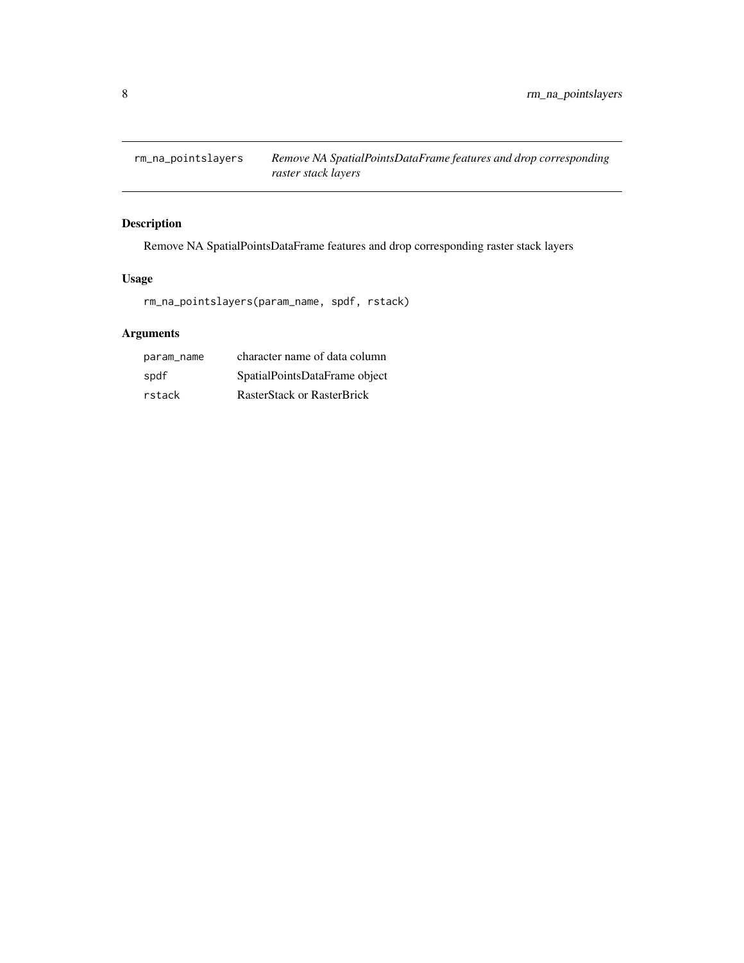<span id="page-7-0"></span>rm\_na\_pointslayers *Remove NA SpatialPointsDataFrame features and drop corresponding raster stack layers*

# Description

Remove NA SpatialPointsDataFrame features and drop corresponding raster stack layers

# Usage

rm\_na\_pointslayers(param\_name, spdf, rstack)

# Arguments

| param_name | character name of data column |
|------------|-------------------------------|
| spdf       | SpatialPointsDataFrame object |
| rstack     | RasterStack or RasterBrick    |